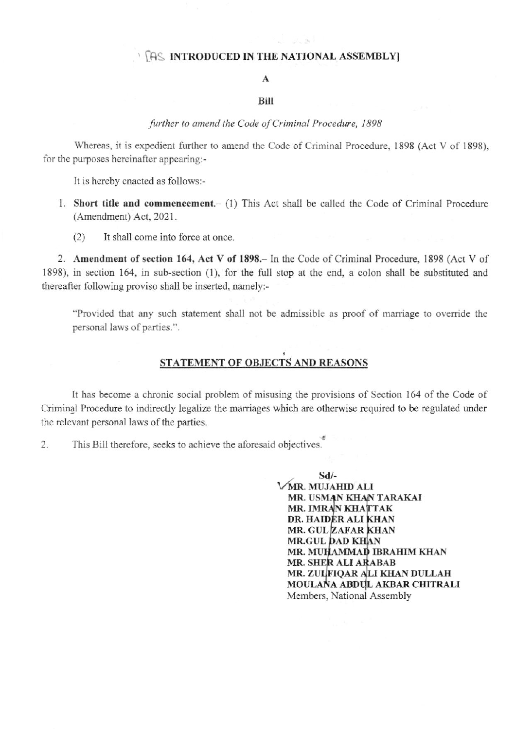## **INTRODUCED IN THE NATIONAL ASSEMBLY**

## $\mathbf{A}$

#### Bill

### further to amend the Code of Criminal Procedure, 1898

Whereas, it is expedient further to amend the Code of Criminal Procedure, 1898 (Act V of 1898), for the purposes hereinafter appearing:-

It is hereby enacted as follows:-

- 1. Short title and commencement.- (1) This Act shall be called the Code of Criminal Procedure (Amendment) Act, 2021.
	- It shall come into force at once.  $(2)$

2. Amendment of section 164, Act V of 1898. In the Code of Criminal Procedure, 1898 (Act V of 1898), in section 164, in sub-section (1), for the full stop at the end, a colon shall be substituted and thereafter following proviso shall be inserted, namely:-

"Provided that any such statement shall not be admissible as proof of marriage to override the personal laws of parties.".

# STATEMENT OF OBJECTS AND REASONS

It has become a chronic social problem of misusing the provisions of Section 164 of the Code of Criminal Procedure to indirectly legalize the marriages which are otherwise required to be regulated under the relevant personal laws of the parties.

This Bill therefore, seeks to achieve the aforesaid objectives. 2.

> $Sd$ /-VMR. MUJAHID ALI MR. USMAN KHAN TARAKAI MR. IMRAN KHATTAK DR. HAIDER ALI KHAN MR. GUL ZAFAR KHAN **MR.GUL DAD KHAN** MR. MUHAMMAD IBRAHIM KHAN MR. SHER ALI ARABAB MR. ZULFIQAR ALI KHAN DULLAH MOULANA ABDUL AKBAR CHITRALI Members, National Assembly